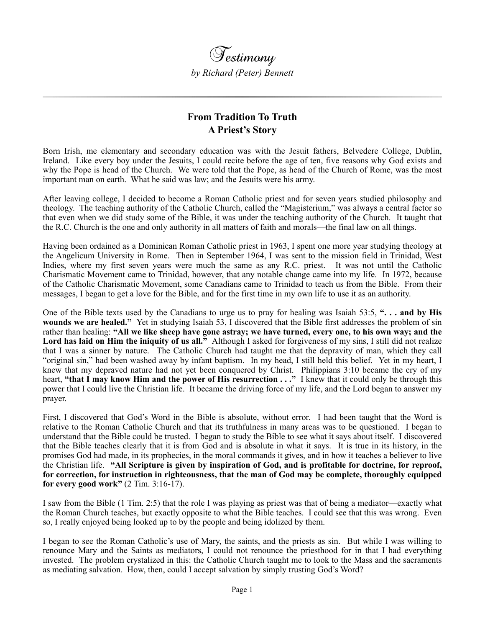

## **From Tradition To Truth A Priest's Story**

Born Irish, me elementary and secondary education was with the Jesuit fathers, Belvedere College, Dublin, Ireland. Like every boy under the Jesuits, I could recite before the age of ten, five reasons why God exists and why the Pope is head of the Church. We were told that the Pope, as head of the Church of Rome, was the most important man on earth. What he said was law; and the Jesuits were his army.

After leaving college, I decided to become a Roman Catholic priest and for seven years studied philosophy and theology. The teaching authority of the Catholic Church, called the "Magisterium," was always a central factor so that even when we did study some of the Bible, it was under the teaching authority of the Church. It taught that the R.C. Church is the one and only authority in all matters of faith and morals—the final law on all things.

Having been ordained as a Dominican Roman Catholic priest in 1963, I spent one more year studying theology at the Angelicum University in Rome. Then in September 1964, I was sent to the mission field in Trinidad, West Indies, where my first seven years were much the same as any R.C. priest. It was not until the Catholic Charismatic Movement came to Trinidad, however, that any notable change came into my life. In 1972, because of the Catholic Charismatic Movement, some Canadians came to Trinidad to teach us from the Bible. From their messages, I began to get a love for the Bible, and for the first time in my own life to use it as an authority.

One of the Bible texts used by the Canadians to urge us to pray for healing was Isaiah 53:5, **". . . and by His wounds we are healed."** Yet in studying Isaiah 53, I discovered that the Bible first addresses the problem of sin rather than healing: **"All we like sheep have gone astray; we have turned, every one, to his own way; and the**  Lord has laid on Him the iniquity of us all." Although I asked for forgiveness of my sins, I still did not realize that I was a sinner by nature. The Catholic Church had taught me that the depravity of man, which they call "original sin," had been washed away by infant baptism. In my head, I still held this belief. Yet in my heart, I knew that my depraved nature had not yet been conquered by Christ. Philippians 3:10 became the cry of my heart, **"that I may know Him and the power of His resurrection . . ."** I knew that it could only be through this power that I could live the Christian life. It became the driving force of my life, and the Lord began to answer my prayer.

First, I discovered that God's Word in the Bible is absolute, without error. I had been taught that the Word is relative to the Roman Catholic Church and that its truthfulness in many areas was to be questioned. I began to understand that the Bible could be trusted. I began to study the Bible to see what it says about itself. I discovered that the Bible teaches clearly that it is from God and is absolute in what it says. It is true in its history, in the promises God had made, in its prophecies, in the moral commands it gives, and in how it teaches a believer to live the Christian life. **"All Scripture is given by inspiration of God, and is profitable for doctrine, for reproof, for correction, for instruction in righteousness, that the man of God may be complete, thoroughly equipped for every good work"** (2 Tim. 3:16-17).

I saw from the Bible (1 Tim. 2:5) that the role I was playing as priest was that of being a mediator—exactly what the Roman Church teaches, but exactly opposite to what the Bible teaches. I could see that this was wrong. Even so, I really enjoyed being looked up to by the people and being idolized by them.

I began to see the Roman Catholic's use of Mary, the saints, and the priests as sin. But while I was willing to renounce Mary and the Saints as mediators, I could not renounce the priesthood for in that I had everything invested. The problem crystalized in this: the Catholic Church taught me to look to the Mass and the sacraments as mediating salvation. How, then, could I accept salvation by simply trusting God's Word?